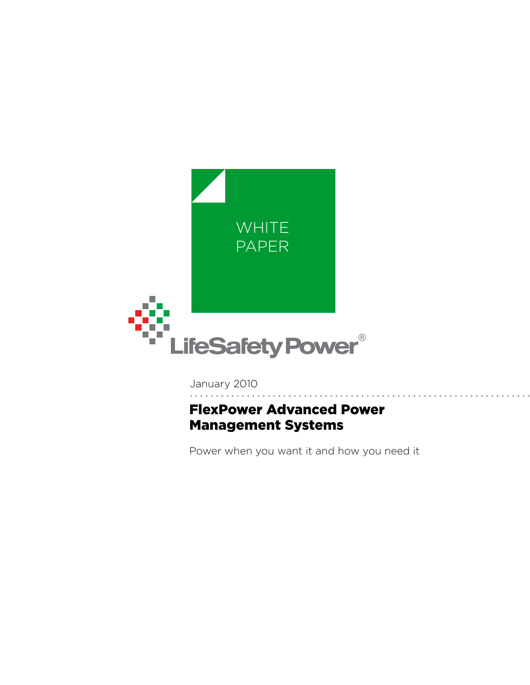

January 2010

# FlexPower Advanced Power Management Systems

Power when you want it and how you need it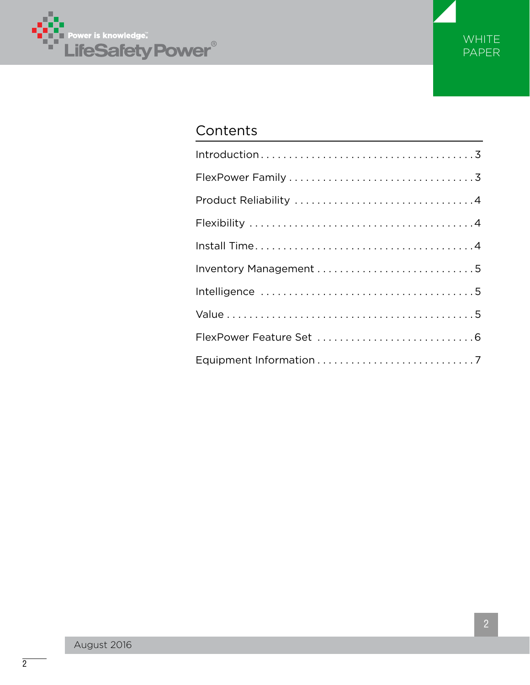



# Contents

| Inventory Management 5 |
|------------------------|
|                        |
|                        |
|                        |
|                        |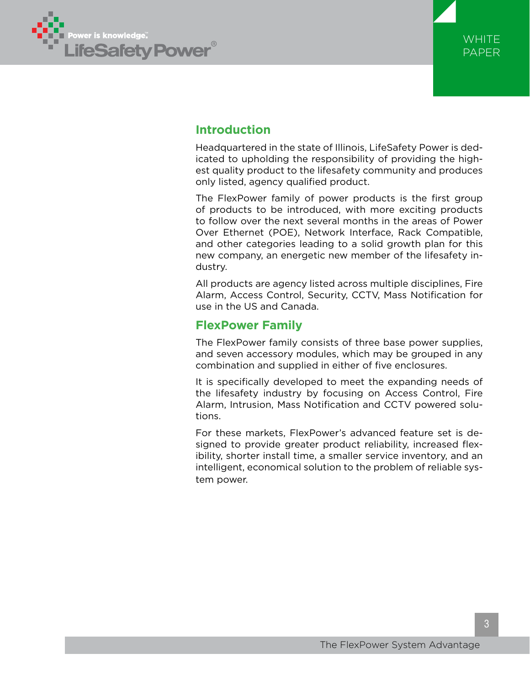



## **Introduction**

Headquartered in the state of Illinois, LifeSafety Power is dedicated to upholding the responsibility of providing the highest quality product to the lifesafety community and produces only listed, agency qualified product.

The FlexPower family of power products is the first group of products to be introduced, with more exciting products to follow over the next several months in the areas of Power Over Ethernet (POE), Network Interface, Rack Compatible, and other categories leading to a solid growth plan for this new company, an energetic new member of the lifesafety industry.

All products are agency listed across multiple disciplines, Fire Alarm, Access Control, Security, CCTV, Mass Notification for use in the US and Canada.

### **FlexPower Family**

The FlexPower family consists of three base power supplies, and seven accessory modules, which may be grouped in any combination and supplied in either of five enclosures.

It is specifically developed to meet the expanding needs of the lifesafety industry by focusing on Access Control, Fire Alarm, Intrusion, Mass Notification and CCTV powered solutions.

For these markets, FlexPower's advanced feature set is designed to provide greater product reliability, increased flexibility, shorter install time, a smaller service inventory, and an intelligent, economical solution to the problem of reliable system power.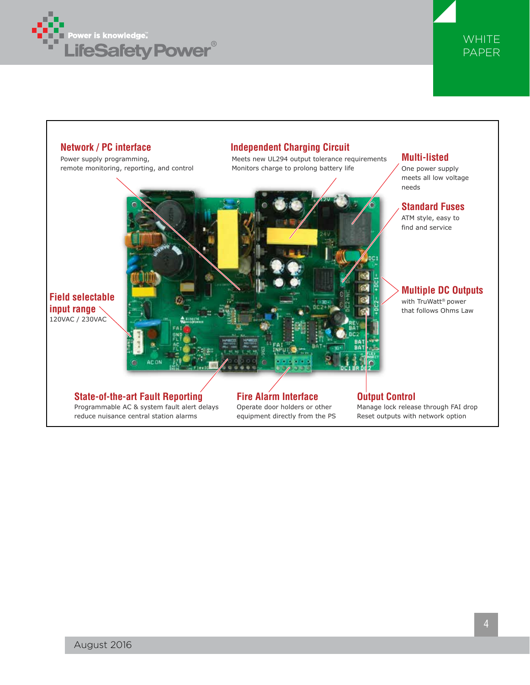



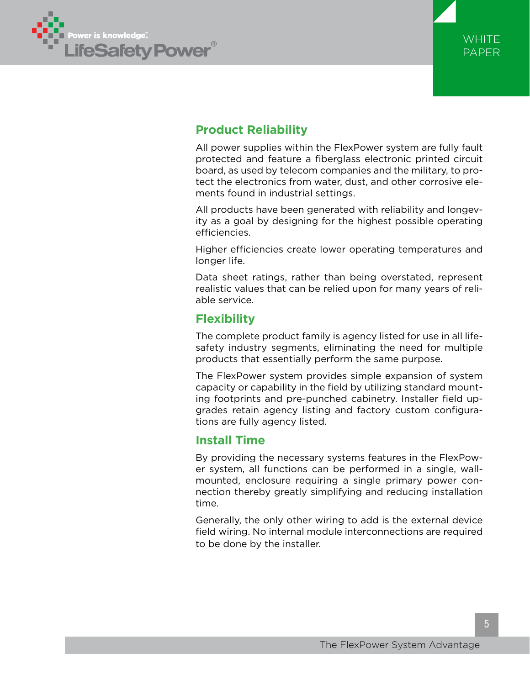



# **Product Reliability**

All power supplies within the FlexPower system are fully fault protected and feature a fiberglass electronic printed circuit board, as used by telecom companies and the military, to protect the electronics from water, dust, and other corrosive elements found in industrial settings.

All products have been generated with reliability and longevity as a goal by designing for the highest possible operating efficiencies.

Higher efficiencies create lower operating temperatures and longer life.

Data sheet ratings, rather than being overstated, represent realistic values that can be relied upon for many years of reliable service.

## **Flexibility**

The complete product family is agency listed for use in all lifesafety industry segments, eliminating the need for multiple products that essentially perform the same purpose.

The FlexPower system provides simple expansion of system capacity or capability in the field by utilizing standard mounting footprints and pre-punched cabinetry. Installer field upgrades retain agency listing and factory custom configurations are fully agency listed.

### **Install Time**

By providing the necessary systems features in the FlexPower system, all functions can be performed in a single, wallmounted, enclosure requiring a single primary power connection thereby greatly simplifying and reducing installation time.

Generally, the only other wiring to add is the external device field wiring. No internal module interconnections are required to be done by the installer.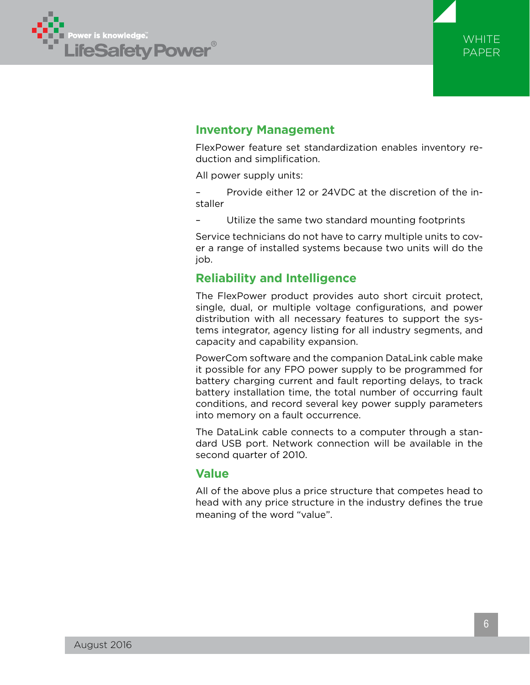



### **Inventory Management**

FlexPower feature set standardization enables inventory reduction and simplification.

All power supply units:

– Provide either 12 or 24VDC at the discretion of the installer

– Utilize the same two standard mounting footprints

Service technicians do not have to carry multiple units to cover a range of installed systems because two units will do the job.

### **Reliability and Intelligence**

The FlexPower product provides auto short circuit protect, single, dual, or multiple voltage configurations, and power distribution with all necessary features to support the systems integrator, agency listing for all industry segments, and capacity and capability expansion.

PowerCom software and the companion DataLink cable make it possible for any FPO power supply to be programmed for battery charging current and fault reporting delays, to track battery installation time, the total number of occurring fault conditions, and record several key power supply parameters into memory on a fault occurrence.

The DataLink cable connects to a computer through a standard USB port. Network connection will be available in the second quarter of 2010.

### **Value**

All of the above plus a price structure that competes head to head with any price structure in the industry defines the true meaning of the word "value".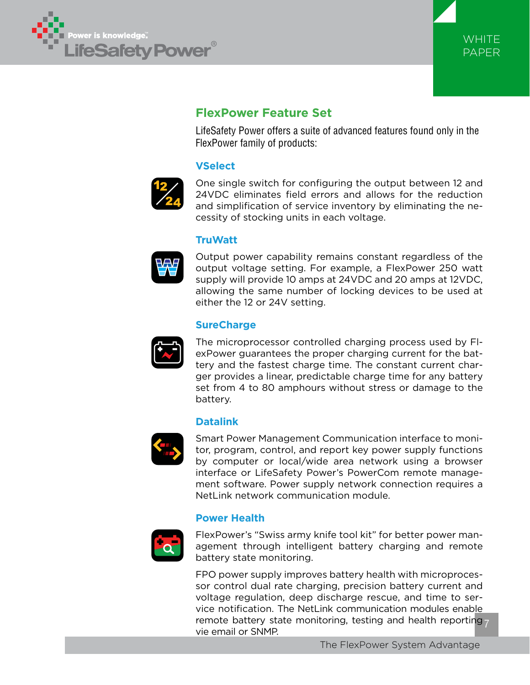



# **FlexPower Feature Set**

LifeSafety Power offers a suite of advanced features found only in the FlexPower family of products:

### **VSelect**



One single switch for configuring the output between 12 and 24VDC eliminates field errors and allows for the reduction and simplification of service inventory by eliminating the necessity of stocking units in each voltage.

### **TruWatt**



Output power capability remains constant regardless of the output voltage setting. For example, a FlexPower 250 watt supply will provide 10 amps at 24VDC and 20 amps at 12VDC, allowing the same number of locking devices to be used at either the 12 or 24V setting.

### **SureCharge**



The microprocessor controlled charging process used by FlexPower guarantees the proper charging current for the battery and the fastest charge time. The constant current charger provides a linear, predictable charge time for any battery set from 4 to 80 amphours without stress or damage to the battery.

### **Datalink**



Smart Power Management Communication interface to monitor, program, control, and report key power supply functions by computer or local/wide area network using a browser interface or LifeSafety Power's PowerCom remote management software. Power supply network connection requires a NetLink network communication module.

### **Power Health**



FlexPower's "Swiss army knife tool kit" for better power management through intelligent battery charging and remote battery state monitoring.

remote battery state monitoring, testing and health reporting 7 FPO power supply improves battery health with microprocessor control dual rate charging, precision battery current and voltage regulation, deep discharge rescue, and time to service notification. The NetLink communication modules enable vie email or SNMP.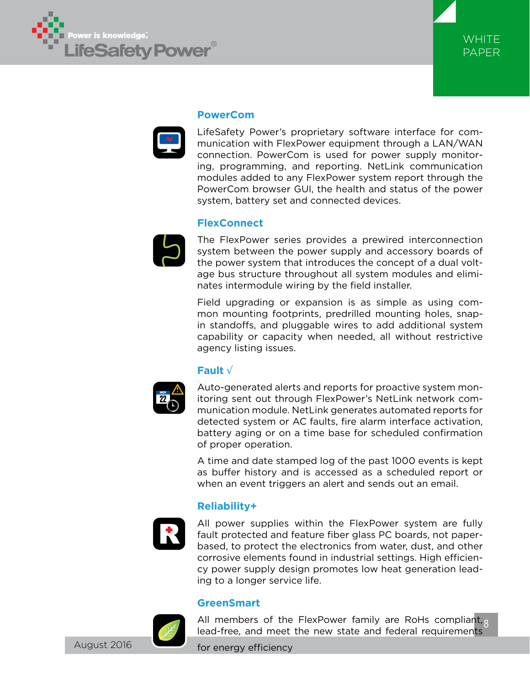



#### **PowerCom**

LifeSafety Power's proprietary software interface for communication with FlexPower equipment through a LAN/WAN connection. PowerCom is used for power supply monitoring, programming, and reporting. NetLink communication modules added to any FlexPower system report through the PowerCom browser GUI, the health and status of the power system, battery set and connected devices.

#### **FlexConnect**



The FlexPower series provides a prewired interconnection system between the power supply and accessory boards of the power system that introduces the concept of a dual voltage bus structure throughout all system modules and eliminates intermodule wiring by the field installer.

Field upgrading or expansion is as simple as using common mounting footprints, predrilled mounting holes, snapin standoffs, and pluggable wires to add additional system capability or capacity when needed, all without restrictive agency listing issues.

#### **Fault** √



Auto-generated alerts and reports for proactive system monitoring sent out through FlexPower's NetLink network communication module. NetLink generates automated reports for detected system or AC faults, fire alarm interface activation, battery aging or on a time base for scheduled confirmation of proper operation.

A time and date stamped log of the past 1000 events is kept as buffer history and is accessed as a scheduled report or when an event triggers an alert and sends out an email.

#### **Reliability+**



All power supplies within the FlexPower system are fully fault protected and feature fiber glass PC boards, not paperbased, to protect the electronics from water, dust, and other corrosive elements found in industrial settings. High efficiency power supply design promotes low heat generation leading to a longer service life.

#### **GreenSmart**



All members of the FlexPower family are RoHs compliant, 8 lead-free, and meet the new state and federal requirements

for energy efficiency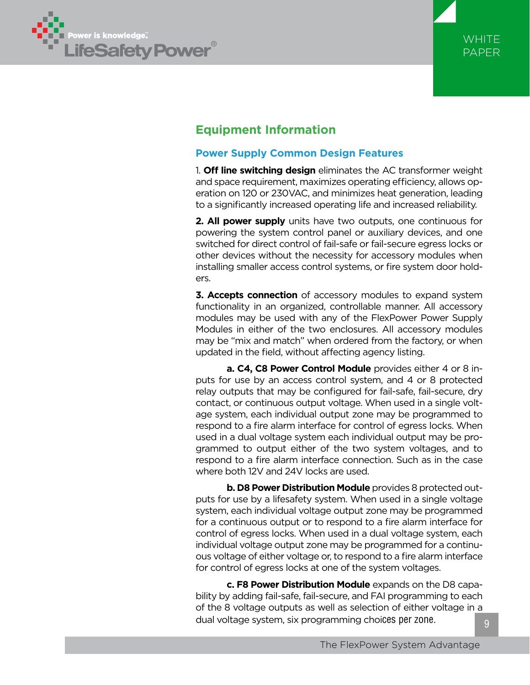



# **Equipment Information**

### **Power Supply Common Design Features**

1. **Off line switching design** eliminates the AC transformer weight and space requirement, maximizes operating efficiency, allows operation on 120 or 230VAC, and minimizes heat generation, leading to a significantly increased operating life and increased reliability.

**2. All power supply** units have two outputs, one continuous for powering the system control panel or auxiliary devices, and one switched for direct control of fail-safe or fail-secure egress locks or other devices without the necessity for accessory modules when installing smaller access control systems, or fire system door holders.

**3. Accepts connection** of accessory modules to expand system functionality in an organized, controllable manner. All accessory modules may be used with any of the FlexPower Power Supply Modules in either of the two enclosures. All accessory modules may be "mix and match" when ordered from the factory, or when updated in the field, without affecting agency listing.

**a. C4, C8 Power Control Module** provides either 4 or 8 inputs for use by an access control system, and 4 or 8 protected relay outputs that may be configured for fail-safe, fail-secure, dry contact, or continuous output voltage. When used in a single voltage system, each individual output zone may be programmed to respond to a fire alarm interface for control of egress locks. When used in a dual voltage system each individual output may be programmed to output either of the two system voltages, and to respond to a fire alarm interface connection. Such as in the case where both 12V and 24V locks are used.

**b. D8 Power Distribution Module** provides 8 protected outputs for use by a lifesafety system. When used in a single voltage system, each individual voltage output zone may be programmed for a continuous output or to respond to a fire alarm interface for control of egress locks. When used in a dual voltage system, each individual voltage output zone may be programmed for a continuous voltage of either voltage or, to respond to a fire alarm interface for control of egress locks at one of the system voltages.

**c. F8 Power Distribution Module** expands on the D8 capability by adding fail-safe, fail-secure, and FAI programming to each of the 8 voltage outputs as well as selection of either voltage in a dual voltage system, six programming choices per zone.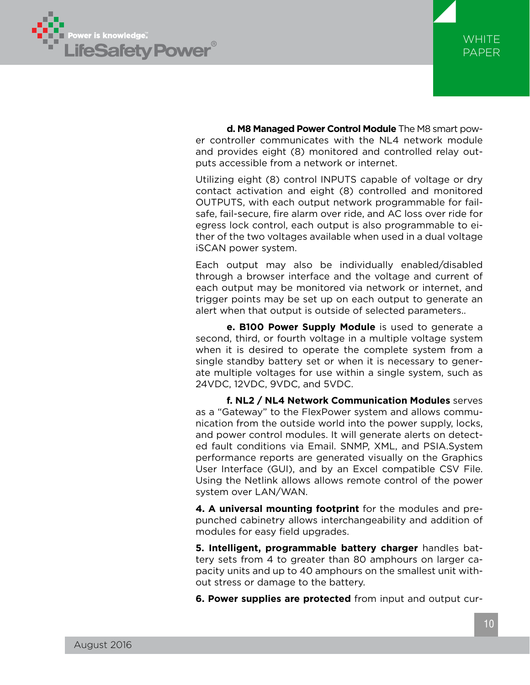



**d. M8 Managed Power Control Module** The M8 smart power controller communicates with the NL4 network module and provides eight (8) monitored and controlled relay outputs accessible from a network or internet.

Utilizing eight (8) control INPUTS capable of voltage or dry contact activation and eight (8) controlled and monitored OUTPUTS, with each output network programmable for failsafe, fail-secure, fire alarm over ride, and AC loss over ride for egress lock control, each output is also programmable to either of the two voltages available when used in a dual voltage iSCAN power system.

Each output may also be individually enabled/disabled through a browser interface and the voltage and current of each output may be monitored via network or internet, and trigger points may be set up on each output to generate an alert when that output is outside of selected parameters..

**e. B100 Power Supply Module** is used to generate a second, third, or fourth voltage in a multiple voltage system when it is desired to operate the complete system from a single standby battery set or when it is necessary to generate multiple voltages for use within a single system, such as 24VDC, 12VDC, 9VDC, and 5VDC.

**f. NL2 / NL4 Network Communication Modules** serves as a "Gateway" to the FlexPower system and allows communication from the outside world into the power supply, locks, and power control modules. It will generate alerts on detected fault conditions via Email. SNMP, XML, and PSIA.System performance reports are generated visually on the Graphics User Interface (GUI), and by an Excel compatible CSV File. Using the Netlink allows allows remote control of the power system over LAN/WAN.

**4. A universal mounting footprint** for the modules and prepunched cabinetry allows interchangeability and addition of modules for easy field upgrades.

**5. Intelligent, programmable battery charger** handles battery sets from 4 to greater than 80 amphours on larger capacity units and up to 40 amphours on the smallest unit without stress or damage to the battery.

**6. Power supplies are protected** from input and output cur-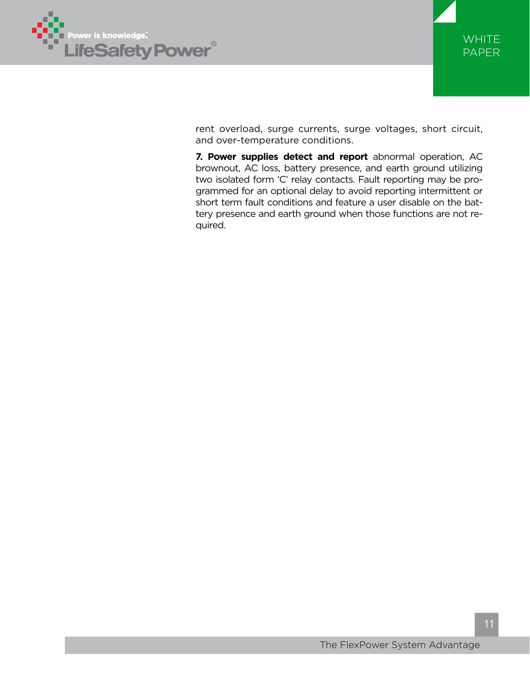



rent overload, surge currents, surge voltages, short circuit, and over-temperature conditions.

**7. Power supplies detect and report** abnormal operation, AC brownout, AC loss, battery presence, and earth ground utilizing two isolated form 'C' relay contacts. Fault reporting may be programmed for an optional delay to avoid reporting intermittent or short term fault conditions and feature a user disable on the battery presence and earth ground when those functions are not required.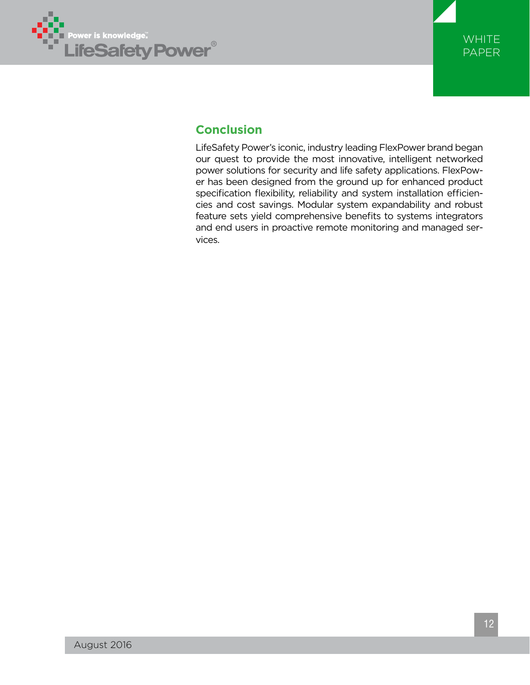



# **Conclusion**

LifeSafety Power's iconic, industry leading FlexPower brand began our quest to provide the most innovative, intelligent networked power solutions for security and life safety applications. FlexPower has been designed from the ground up for enhanced product specification flexibility, reliability and system installation efficiencies and cost savings. Modular system expandability and robust feature sets yield comprehensive benefits to systems integrators and end users in proactive remote monitoring and managed services.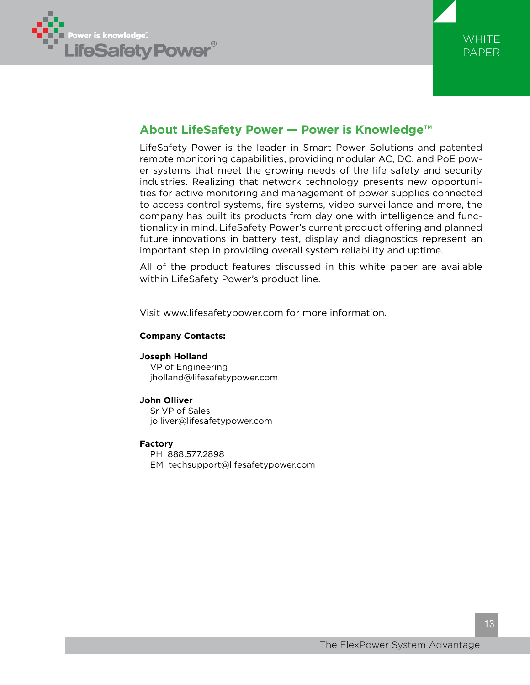



## **About LifeSafety Power — Power is Knowledge™**

LifeSafety Power is the leader in Smart Power Solutions and patented remote monitoring capabilities, providing modular AC, DC, and PoE power systems that meet the growing needs of the life safety and security industries. Realizing that network technology presents new opportunities for active monitoring and management of power supplies connected to access control systems, fire systems, video surveillance and more, the company has built its products from day one with intelligence and functionality in mind. LifeSafety Power's current product offering and planned future innovations in battery test, display and diagnostics represent an important step in providing overall system reliability and uptime.

All of the product features discussed in this white paper are available within LifeSafety Power's product line.

Visit www.lifesafetypower.com for more information.

#### **Company Contacts:**

#### **Joseph Holland**

VP of Engineering jholland@lifesafetypower.com

#### **John Olliver**

Sr VP of Sales jolliver@lifesafetypower.com

#### **Factory**

PH 888.577.2898

EM techsupport@lifesafetypower.com